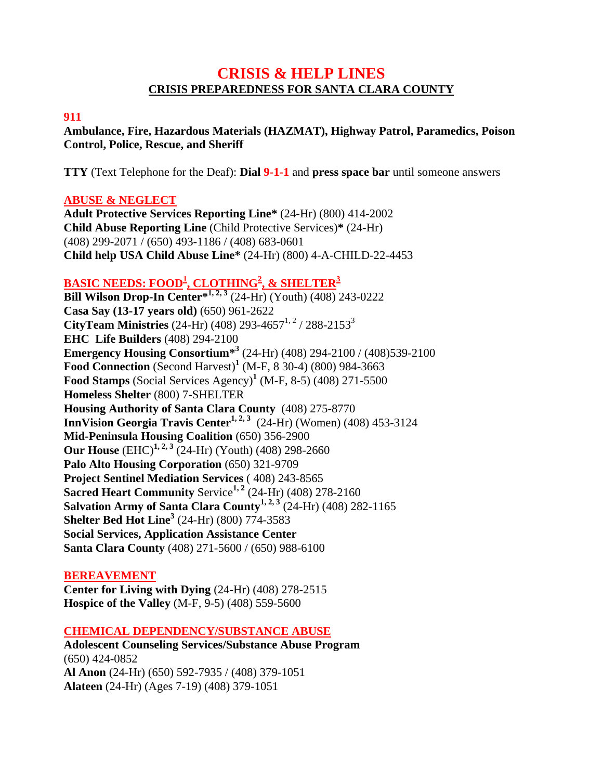# **CRISIS & HELP LINES CRISIS PREPAREDNESS FOR SANTA CLARA COUNTY**

#### **911**

**Ambulance, Fire, Hazardous Materials (HAZMAT), Highway Patrol, Paramedics, Poison Control, Police, Rescue, and Sheriff** 

**TTY** (Text Telephone for the Deaf): **Dial 9-1-1** and **press space bar** until someone answers

### **ABUSE & NEGLECT**

**Adult Protective Services Reporting Line\*** (24-Hr) (800) 414-2002 **Child Abuse Reporting Line** (Child Protective Services)**\*** (24-Hr) (408) 299-2071 / (650) 493-1186 / (408) 683-0601 **Child help USA Child Abuse Line\*** (24-Hr) (800) 4-A-CHILD-22-4453

### **BASIC NEEDS: FOOD1 , CLOTHING<sup>2</sup> , & SHELTER3**

**Bill Wilson Drop-In Center\***<sup>1, 2, 3</sup> (24-Hr) (Youth) (408) 243-0222 **Casa Say (13-17 years old)** (650) 961-2622 **CityTeam Ministries**  $(24-Hr) (408) 293-4657<sup>1,2</sup> / 288-2153<sup>3</sup>$ **EHC Life Builders** (408) 294-2100 **Emergency Housing Consortium\*3** (24-Hr) (408) 294-2100 / (408)539-2100 **Food Connection** (Second Harvest)**<sup>1</sup>** (M-F, 8 30-4) (800) 984-3663 **Food Stamps** (Social Services Agency)**<sup>1</sup>** (M-F, 8-5) (408) 271-5500 **Homeless Shelter** (800) 7-SHELTER **Housing Authority of Santa Clara County** (408) 275-8770 **InnVision Georgia Travis Center<sup>1, 2, 3</sup> (24-Hr) (Women) (408) 453-3124 Mid-Peninsula Housing Coalition** (650) 356-2900 **Our House** (EHC)<sup>1, 2, 3</sup> (24-Hr) (Youth) (408) 298-2660 **Palo Alto Housing Corporation** (650) 321-9709 **Project Sentinel Mediation Services** ( 408) 243-8565 **Sacred Heart Community Service<sup>1, 2</sup> (24-Hr) (408) 278-2160 Salvation Army of Santa Clara County<sup>1, 2, 3</sup> (24-Hr) (408) 282-1165 Shelter Bed Hot Line<sup>3</sup>** (24-Hr) (800) 774-3583 **Social Services, Application Assistance Center Santa Clara County** (408) 271-5600 / (650) 988-6100

#### **BEREAVEMENT**

**Center for Living with Dying** (24-Hr) (408) 278-2515 **Hospice of the Valley** (M-F, 9-5) (408) 559-5600

#### **CHEMICAL DEPENDENCY/SUBSTANCE ABUSE**

**Adolescent Counseling Services/Substance Abuse Program**  (650) 424-0852 **Al Anon** (24-Hr) (650) 592-7935 / (408) 379-1051 **Alateen** (24-Hr) (Ages 7-19) (408) 379-1051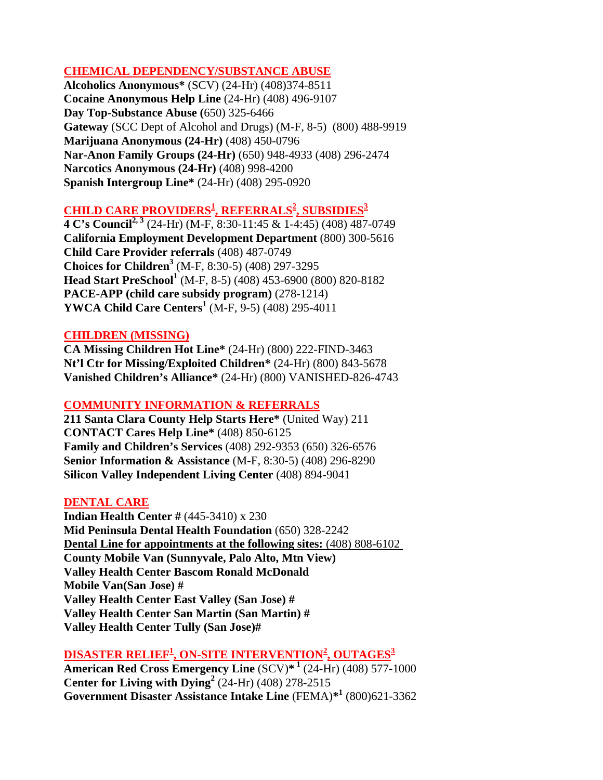### **CHEMICAL DEPENDENCY/SUBSTANCE ABUSE**

**Alcoholics Anonymous\*** (SCV) (24-Hr) (408)374-8511 **Cocaine Anonymous Help Line** (24-Hr) (408) 496-9107 **Day Top-Substance Abuse (**650) 325-6466 **Gateway** (SCC Dept of Alcohol and Drugs) (M-F, 8-5) (800) 488-9919 **Marijuana Anonymous (24-Hr)** (408) 450-0796 **Nar-Anon Family Groups (24-Hr)** (650) 948-4933 (408) 296-2474 **Narcotics Anonymous (24-Hr)** (408) 998-4200 **Spanish Intergroup Line\*** (24-Hr) (408) 295-0920

# $\overline{\text{CHILD CARE PROVIDERS}^1}$ , REFERRALS<sup>2</sup>, SUBSIDIES<sup>3</sup>

**4 C's Council2, 3** (24-Hr) (M-F, 8:30-11:45 & 1-4:45) (408) 487-0749 **California Employment Development Department** (800) 300-5616 **Child Care Provider referrals** (408) 487-0749 **Choices for Children3** (M-F, 8:30-5) (408) 297-3295 **Head Start PreSchool<sup>1</sup>** (M-F, 8-5) (408) 453-6900 (800) 820-8182 **PACE-APP (child care subsidy program)** (278-1214) **YWCA Child Care Centers<sup>1</sup>** (M-F, 9-5) (408) 295-4011

### **CHILDREN (MISSING)**

**CA Missing Children Hot Line\*** (24-Hr) (800) 222-FIND-3463 **Nt'l Ctr for Missing/Exploited Children\*** (24-Hr) (800) 843-5678 **Vanished Children's Alliance\*** (24-Hr) (800) VANISHED-826-4743

### **COMMUNITY INFORMATION & REFERRALS**

**211 Santa Clara County Help Starts Here\*** (United Way) 211 **CONTACT Cares Help Line\*** (408) 850-6125 **Family and Children's Services** (408) 292-9353 (650) 326-6576 **Senior Information & Assistance** (M-F, 8:30-5) (408) 296-8290 **Silicon Valley Independent Living Center** (408) 894-9041

### **DENTAL CARE**

**Indian Health Center #** (445-3410) x 230 **Mid Peninsula Dental Health Foundation** (650) 328-2242 **Dental Line for appointments at the following sites:** (408) 808-6102 **County Mobile Van (Sunnyvale, Palo Alto, Mtn View) Valley Health Center Bascom Ronald McDonald Mobile Van(San Jose) # Valley Health Center East Valley (San Jose) # Valley Health Center San Martin (San Martin) # Valley Health Center Tully (San Jose)#**

# **DISASTER RELIEF1 , ON-SITE INTERVENTION2 , OUTAGES3**

**American Red Cross Emergency Line** (SCV)**\* 1** (24-Hr) (408) 577-1000 **Center for Living with Dying<sup>2</sup>** (24-Hr) (408) 278-2515 **Government Disaster Assistance Intake Line** (FEMA)**\*1** (800)621-3362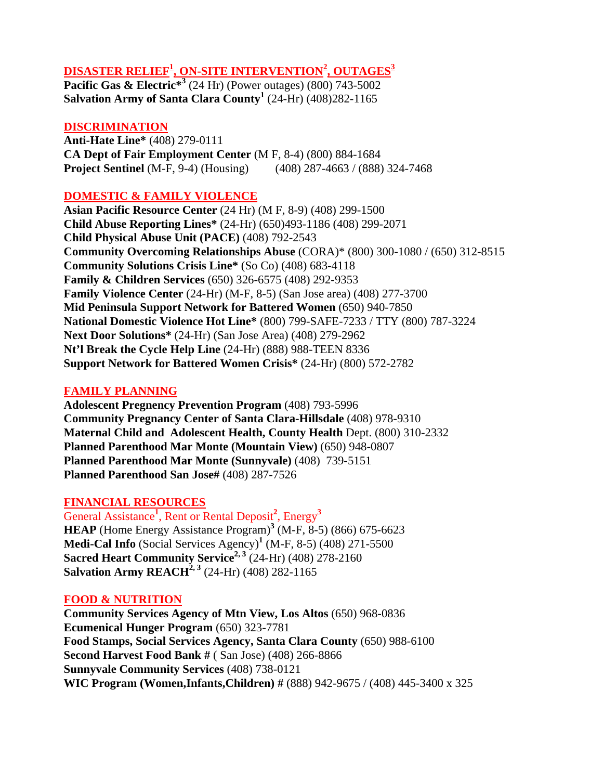# **DISASTER RELIEF1 , ON-SITE INTERVENTION2 , OUTAGES3**

**Pacific Gas & Electric<sup>\*3</sup> (24 Hr) (Power outages) (800) 743-5002 Salvation Army of Santa Clara County<sup>1</sup>** (24-Hr) (408)282-1165

#### **DISCRIMINATION**

**Anti-Hate Line\*** (408) 279-0111 **CA Dept of Fair Employment Center** (M F, 8-4) (800) 884-1684 **Project Sentinel** (M-F, 9-4) (Housing) (408) 287-4663 / (888) 324-7468

### **DOMESTIC & FAMILY VIOLENCE**

**Asian Pacific Resource Center** (24 Hr) (M F, 8-9) (408) 299-1500 **Child Abuse Reporting Lines\*** (24-Hr) (650)493-1186 (408) 299-2071 **Child Physical Abuse Unit (PACE)** (408) 792-2543 **Community Overcoming Relationships Abuse** (CORA)\* (800) 300-1080 / (650) 312-8515 **Community Solutions Crisis Line\*** (So Co) (408) 683-4118 **Family & Children Services** (650) 326-6575 (408) 292-9353 **Family Violence Center** (24-Hr) (M-F, 8-5) (San Jose area) (408) 277-3700 **Mid Peninsula Support Network for Battered Women** (650) 940-7850 **National Domestic Violence Hot Line\*** (800) 799-SAFE-7233 / TTY (800) 787-3224 **Next Door Solutions\*** (24-Hr) (San Jose Area) (408) 279-2962 **Nt'l Break the Cycle Help Line** (24-Hr) (888) 988-TEEN 8336 **Support Network for Battered Women Crisis\*** (24-Hr) (800) 572-2782

#### **FAMILY PLANNING**

**Adolescent Pregnency Prevention Program** (408) 793-5996 **Community Pregnancy Center of Santa Clara-Hillsdale** (408) 978-9310 **Maternal Child and Adolescent Health, County Health** Dept. (800) 310-2332 **Planned Parenthood Mar Monte (Mountain View)** (650) 948-0807 **Planned Parenthood Mar Monte (Sunnyvale)** (408) 739-5151 **Planned Parenthood San Jose#** (408) 287-7526

#### **FINANCIAL RESOURCES**

General Assistance**<sup>1</sup>** , Rent or Rental Deposit**<sup>2</sup>** , Energy**<sup>3</sup> HEAP** (Home Energy Assistance Program)<sup>3</sup> (M-F, 8-5) (866) 675-6623 **Medi-Cal Info** (Social Services Agency)**<sup>1</sup>** (M-F, 8-5) (408) 271-5500 **Sacred Heart Community Service2, 3** (24-Hr) (408) 278-2160 **Salvation Army REACH<sup>2, 3</sup> (24-Hr) (408) 282-1165** 

#### **FOOD & NUTRITION**

**Community Services Agency of Mtn View, Los Altos** (650) 968-0836 **Ecumenical Hunger Program** (650) 323-7781 **Food Stamps, Social Services Agency, Santa Clara County** (650) 988-6100 **Second Harvest Food Bank #** ( San Jose) (408) 266-8866 **Sunnyvale Community Services** (408) 738-0121 **WIC Program (Women,Infants,Children) #** (888) 942-9675 / (408) 445-3400 x 325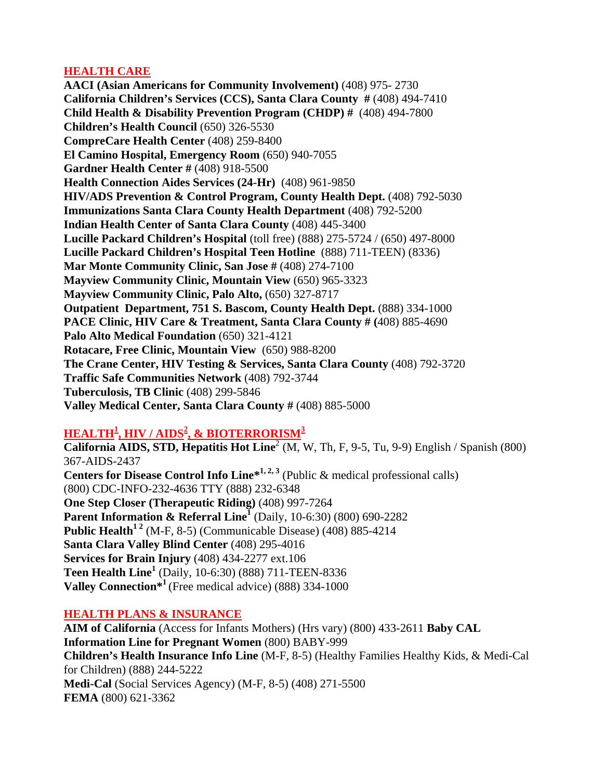### **HEALTH CARE**

**AACI (Asian Americans for Community Involvement)** (408) 975- 2730 **California Children's Services (CCS), Santa Clara County #** (408) 494-7410 **Child Health & Disability Prevention Program (CHDP) #** (408) 494-7800 **Children's Health Council** (650) 326-5530 **CompreCare Health Center** (408) 259-8400 **El Camino Hospital, Emergency Room** (650) 940-7055 **Gardner Health Center #** (408) 918-5500 **Health Connection Aides Services (24-Hr)** (408) 961-9850 **HIV/ADS Prevention & Control Program, County Health Dept.** (408) 792-5030 **Immunizations Santa Clara County Health Department** (408) 792-5200 **Indian Health Center of Santa Clara County** (408) 445-3400 **Lucille Packard Children's Hospital** (toll free) (888) 275-5724 / (650) 497-8000 **Lucille Packard Children's Hospital Teen Hotline** (888) 711-TEEN) (8336) **Mar Monte Community Clinic, San Jose #** (408) 274-7100 **Mayview Community Clinic, Mountain View** (650) 965-3323 **Mayview Community Clinic, Palo Alto,** (650) 327-8717 **Outpatient Department, 751 S. Bascom, County Health Dept.** (888) 334-1000 **PACE Clinic, HIV Care & Treatment, Santa Clara County # (**408) 885-4690 **Palo Alto Medical Foundation** (650) 321-4121 **Rotacare, Free Clinic, Mountain View** (650) 988-8200 **The Crane Center, HIV Testing & Services, Santa Clara County** (408) 792-3720 **Traffic Safe Communities Network** (408) 792-3744 **Tuberculosis, TB Clinic** (408) 299-5846 **Valley Medical Center, Santa Clara County #** (408) 885-5000

# **HEALTH<sup>1</sup> , HIV / AIDS<sup>2</sup> , & BIOTERRORISM<sup>3</sup>**

**California AIDS, STD, Hepatitis Hot Line<sup>2</sup> (M, W, Th, F, 9-5, Tu, 9-9) English / Spanish (800)** 367-AIDS-2437 **Centers for Disease Control Info Line<sup>\*1, 2, 3</sup> (Public & medical professional calls)** (800) CDC-INFO-232-4636 TTY (888) 232-6348 **One Step Closer (Therapeutic Riding)** (408) 997-7264 **Parent Information & Referral Line<sup>1</sup>** (Daily, 10-6:30) (800) 690-2282 **Public Health**<sup>12</sup> (M-F, 8-5) (Communicable Disease) (408) 885-4214 **Santa Clara Valley Blind Center** (408) 295-4016 **Services for Brain Injury** (408) 434-2277 ext.106 **Teen Health Line<sup>1</sup>** (Daily, 10-6:30) (888) 711-TEEN-8336 **Valley Connection\*<sup>1</sup>**(Free medical advice) (888) 334-1000

# **HEALTH PLANS & INSURANCE**

**AIM of California** (Access for Infants Mothers) (Hrs vary) (800) 433-2611 **Baby CAL Information Line for Pregnant Women** (800) BABY-999 **Children's Health Insurance Info Line** (M-F, 8-5) (Healthy Families Healthy Kids, & Medi-Cal for Children) (888) 244-5222 **Medi-Cal** (Social Services Agency) (M-F, 8-5) (408) 271-5500 **FEMA** (800) 621-3362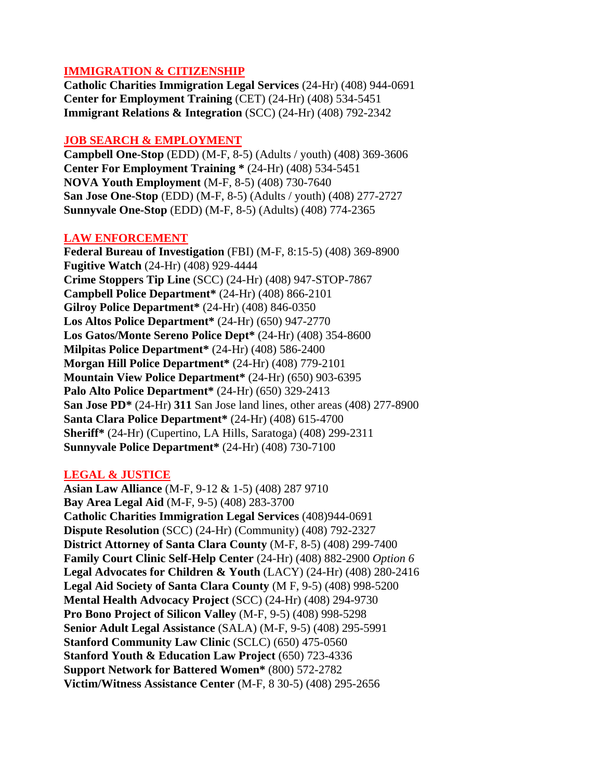### **IMMIGRATION & CITIZENSHIP**

**Catholic Charities Immigration Legal Services** (24-Hr) (408) 944-0691 **Center for Employment Training** (CET) (24-Hr) (408) 534-5451 **Immigrant Relations & Integration** (SCC) (24-Hr) (408) 792-2342

### **JOB SEARCH & EMPLOYMENT**

**Campbell One-Stop** (EDD) (M-F, 8-5) (Adults / youth) (408) 369-3606 **Center For Employment Training \*** (24-Hr) (408) 534-5451 **NOVA Youth Employment** (M-F, 8-5) (408) 730-7640 **San Jose One-Stop** (EDD) (M-F, 8-5) (Adults / youth) (408) 277-2727 **Sunnyvale One-Stop** (EDD) (M-F, 8-5) (Adults) (408) 774-2365

### **LAW ENFORCEMENT**

**Federal Bureau of Investigation** (FBI) (M-F, 8:15-5) (408) 369-8900 **Fugitive Watch** (24-Hr) (408) 929-4444 **Crime Stoppers Tip Line** (SCC) (24-Hr) (408) 947-STOP-7867 **Campbell Police Department\*** (24-Hr) (408) 866-2101 **Gilroy Police Department\*** (24-Hr) (408) 846-0350 **Los Altos Police Department\*** (24-Hr) (650) 947-2770 **Los Gatos/Monte Sereno Police Dept\*** (24-Hr) (408) 354-8600 **Milpitas Police Department\*** (24-Hr) (408) 586-2400 **Morgan Hill Police Department\*** (24-Hr) (408) 779-2101 **Mountain View Police Department\*** (24-Hr) (650) 903-6395 **Palo Alto Police Department\*** (24-Hr) (650) 329-2413 **San Jose PD\*** (24-Hr) **311** San Jose land lines, other areas (408) 277-8900 **Santa Clara Police Department\*** (24-Hr) (408) 615-4700 **Sheriff\*** (24-Hr) (Cupertino, LA Hills, Saratoga) (408) 299-2311 **Sunnyvale Police Department\*** (24-Hr) (408) 730-7100

# **LEGAL & JUSTICE**

**Asian Law Alliance** (M-F, 9-12 & 1-5) (408) 287 9710 **Bay Area Legal Aid** (M-F, 9-5) (408) 283-3700 **Catholic Charities Immigration Legal Services** (408)944-0691 **Dispute Resolution** (SCC) (24-Hr) (Community) (408) 792-2327 **District Attorney of Santa Clara County** (M-F, 8-5) (408) 299-7400 **Family Court Clinic Self-Help Center** (24-Hr) (408) 882-2900 *Option 6* **Legal Advocates for Children & Youth** (LACY) (24-Hr) (408) 280-2416 **Legal Aid Society of Santa Clara County** (M F, 9-5) (408) 998-5200 **Mental Health Advocacy Project** (SCC) (24-Hr) (408) 294-9730 **Pro Bono Project of Silicon Valley** (M-F, 9-5) (408) 998-5298 **Senior Adult Legal Assistance** (SALA) (M-F, 9-5) (408) 295-5991 **Stanford Community Law Clinic** (SCLC) (650) 475-0560 **Stanford Youth & Education Law Project** (650) 723-4336 **Support Network for Battered Women\*** (800) 572-2782 **Victim/Witness Assistance Center** (M-F, 8 30-5) (408) 295-2656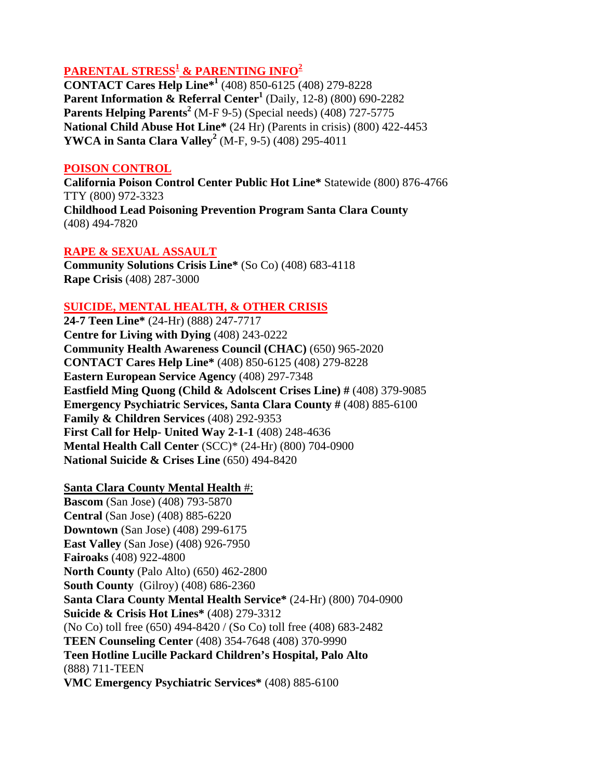# **PARENTAL STRESS1 & PARENTING INFO2**

**CONTACT Cares Help Line\*1** (408) 850-6125 (408) 279-8228 **Parent Information & Referral Center<sup>1</sup>** (Daily, 12-8) (800) 690-2282 **Parents Helping Parents<sup>2</sup>** (M-F 9-5) (Special needs) (408) 727-5775 **National Child Abuse Hot Line\*** (24 Hr) (Parents in crisis) (800) 422-4453 **YWCA in Santa Clara Valley<sup>2</sup>** (M-F, 9-5) (408) 295-4011

#### **POISON CONTROL**

**California Poison Control Center Public Hot Line\*** Statewide (800) 876-4766 TTY (800) 972-3323 **Childhood Lead Poisoning Prevention Program Santa Clara County**  (408) 494-7820

### **RAPE & SEXUAL ASSAULT**

**Community Solutions Crisis Line\*** (So Co) (408) 683-4118 **Rape Crisis** (408) 287-3000

### **SUICIDE, MENTAL HEALTH, & OTHER CRISIS**

**24-7 Teen Line\*** (24-Hr) (888) 247-7717 **Centre for Living with Dying** (408) 243-0222 **Community Health Awareness Council (CHAC)** (650) 965-2020 **CONTACT Cares Help Line\*** (408) 850-6125 (408) 279-8228 **Eastern European Service Agency** (408) 297-7348 **Eastfield Ming Quong (Child & Adolscent Crises Line) #** (408) 379-9085 **Emergency Psychiatric Services, Santa Clara County #** (408) 885-6100 **Family & Children Services** (408) 292-9353 **First Call for Help- United Way 2-1-1** (408) 248-4636 **Mental Health Call Center** (SCC)\* (24-Hr) (800) 704-0900 **National Suicide & Crises Line** (650) 494-8420

#### **Santa Clara County Mental Health** #:

**Bascom** (San Jose) (408) 793-5870 **Central** (San Jose) (408) 885-6220 **Downtown** (San Jose) (408) 299-6175 **East Valley** (San Jose) (408) 926-7950 **Fairoaks** (408) 922-4800 **North County** (Palo Alto) (650) 462-2800 **South County** (Gilroy) (408) 686-2360 **Santa Clara County Mental Health Service\*** (24-Hr) (800) 704-0900 **Suicide & Crisis Hot Lines\*** (408) 279-3312 (No Co) toll free (650) 494-8420 / (So Co) toll free (408) 683-2482 **TEEN Counseling Center** (408) 354-7648 (408) 370-9990 **Teen Hotline Lucille Packard Children's Hospital, Palo Alto**  (888) 711-TEEN **VMC Emergency Psychiatric Services\*** (408) 885-6100